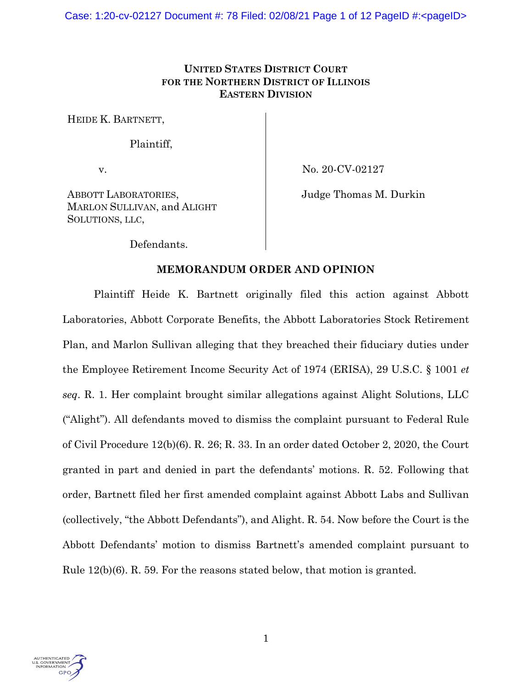## **UNITED STATES DISTRICT COURT FOR THE NORTHERN DISTRICT OF ILLINOIS EASTERN DIVISION**

HEIDE K. BARTNETT,

Plaintiff,

v.

No. 20-CV-02127

ABBOTT LABORATORIES, MARLON SULLIVAN, and ALIGHT SOLUTIONS, LLC,

Judge Thomas M. Durkin

Defendants.

# **MEMORANDUM ORDER AND OPINION**

Plaintiff Heide K. Bartnett originally filed this action against Abbott Laboratories, Abbott Corporate Benefits, the Abbott Laboratories Stock Retirement Plan, and Marlon Sullivan alleging that they breached their fiduciary duties under the Employee Retirement Income Security Act of 1974 (ERISA), 29 U.S.C. § 1001 *et seq*. R. 1. Her complaint brought similar allegations against Alight Solutions, LLC ("Alight"). All defendants moved to dismiss the complaint pursuant to Federal Rule of Civil Procedure 12(b)(6). R. 26; R. 33. In an order dated October 2, 2020, the Court granted in part and denied in part the defendants' motions. R. 52. Following that order, Bartnett filed her first amended complaint against Abbott Labs and Sullivan (collectively, "the Abbott Defendants"), and Alight. R. 54. Now before the Court is the Abbott Defendants' motion to dismiss Bartnett's amended complaint pursuant to Rule 12(b)(6). R. 59. For the reasons stated below, that motion is granted.

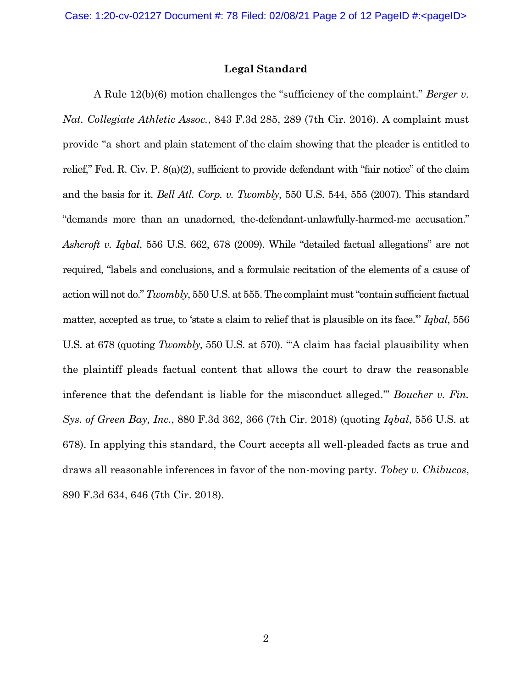#### **Legal Standard**

A Rule 12(b)(6) motion challenges the "sufficiency of the complaint." *Berger v. Nat. Collegiate Athletic Assoc.*, 843 F.3d 285, 289 (7th Cir. 2016). A complaint must provide "a short and plain statement of the claim showing that the pleader is entitled to relief," Fed. R. Civ. P. 8(a)(2), sufficient to provide defendant with "fair notice" of the claim and the basis for it. *Bell Atl. Corp. v. Twombly*, 550 U.S. 544, 555 (2007). This standard "demands more than an unadorned, the-defendant-unlawfully-harmed-me accusation." *Ashcroft v. Iqbal*, 556 U.S. 662, 678 (2009). While "detailed factual allegations" are not required, "labels and conclusions, and a formulaic recitation of the elements of a cause of action will not do." *Twombly*, 550 U.S. at 555. The complaint must "contain sufficient factual matter, accepted as true, to 'state a claim to relief that is plausible on its face.'" *Iqbal*, 556 U.S. at 678 (quoting *Twombly*, 550 U.S. at 570). "'A claim has facial plausibility when the plaintiff pleads factual content that allows the court to draw the reasonable inference that the defendant is liable for the misconduct alleged.'" *Boucher v. Fin. Sys. of Green Bay, Inc.*, 880 F.3d 362, 366 (7th Cir. 2018) (quoting *Iqbal*, 556 U.S. at 678). In applying this standard, the Court accepts all well-pleaded facts as true and draws all reasonable inferences in favor of the non-moving party. *Tobey v. Chibucos*, 890 F.3d 634, 646 (7th Cir. 2018).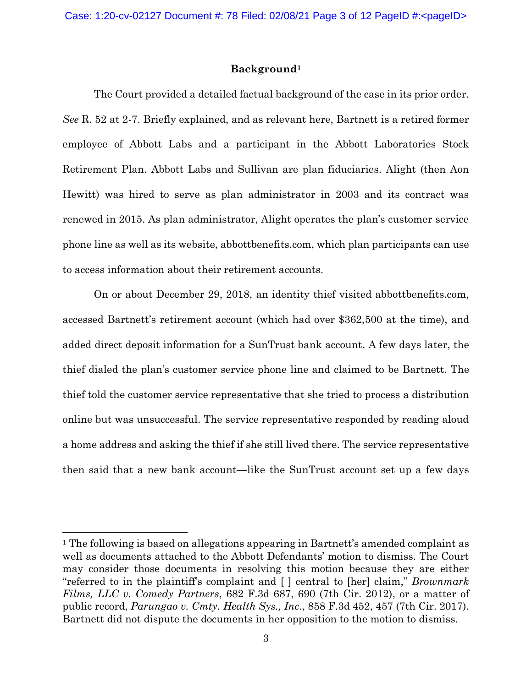## **Background<sup>1</sup>**

The Court provided a detailed factual background of the case in its prior order. *See* R. 52 at 2-7. Briefly explained, and as relevant here, Bartnett is a retired former employee of Abbott Labs and a participant in the Abbott Laboratories Stock Retirement Plan. Abbott Labs and Sullivan are plan fiduciaries. Alight (then Aon Hewitt) was hired to serve as plan administrator in 2003 and its contract was renewed in 2015. As plan administrator, Alight operates the plan's customer service phone line as well as its website, abbottbenefits.com, which plan participants can use to access information about their retirement accounts.

On or about December 29, 2018, an identity thief visited abbottbenefits.com, accessed Bartnett's retirement account (which had over \$362,500 at the time), and added direct deposit information for a SunTrust bank account. A few days later, the thief dialed the plan's customer service phone line and claimed to be Bartnett. The thief told the customer service representative that she tried to process a distribution online but was unsuccessful. The service representative responded by reading aloud a home address and asking the thief if she still lived there. The service representative then said that a new bank account—like the SunTrust account set up a few days

<sup>1</sup> The following is based on allegations appearing in Bartnett's amended complaint as well as documents attached to the Abbott Defendants' motion to dismiss. The Court may consider those documents in resolving this motion because they are either "referred to in the plaintiff's complaint and [ ] central to [her] claim," *Brownmark Films, LLC v. Comedy Partners*, 682 F.3d 687, 690 (7th Cir. 2012), or a matter of public record, *Parungao v. Cmty. Health Sys., Inc*., 858 F.3d 452, 457 (7th Cir. 2017). Bartnett did not dispute the documents in her opposition to the motion to dismiss.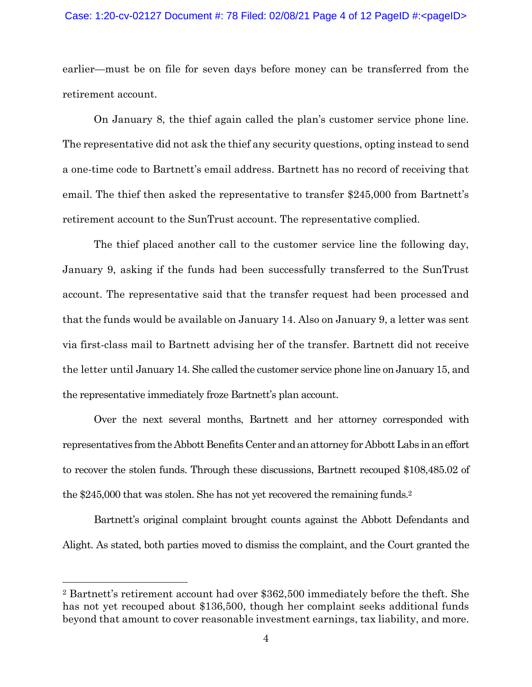#### Case: 1:20-cv-02127 Document #: 78 Filed: 02/08/21 Page 4 of 12 PageID #:<pageID>

earlier—must be on file for seven days before money can be transferred from the retirement account.

On January 8, the thief again called the plan's customer service phone line. The representative did not ask the thief any security questions, opting instead to send a one-time code to Bartnett's email address. Bartnett has no record of receiving that email. The thief then asked the representative to transfer \$245,000 from Bartnett's retirement account to the SunTrust account. The representative complied.

The thief placed another call to the customer service line the following day, January 9, asking if the funds had been successfully transferred to the SunTrust account. The representative said that the transfer request had been processed and that the funds would be available on January 14. Also on January 9, a letter was sent via first-class mail to Bartnett advising her of the transfer. Bartnett did not receive the letter until January 14. She called the customer service phone line on January 15, and the representative immediately froze Bartnett's plan account.

Over the next several months, Bartnett and her attorney corresponded with representatives from the Abbott Benefits Center and an attorney for Abbott Labs in an effort to recover the stolen funds. Through these discussions, Bartnett recouped \$108,485.02 of the \$245,000 that was stolen. She has not yet recovered the remaining funds.<sup>2</sup>

Bartnett's original complaint brought counts against the Abbott Defendants and Alight. As stated, both parties moved to dismiss the complaint, and the Court granted the

<sup>2</sup> Bartnett's retirement account had over \$362,500 immediately before the theft. She has not yet recouped about \$136,500, though her complaint seeks additional funds beyond that amount to cover reasonable investment earnings, tax liability, and more.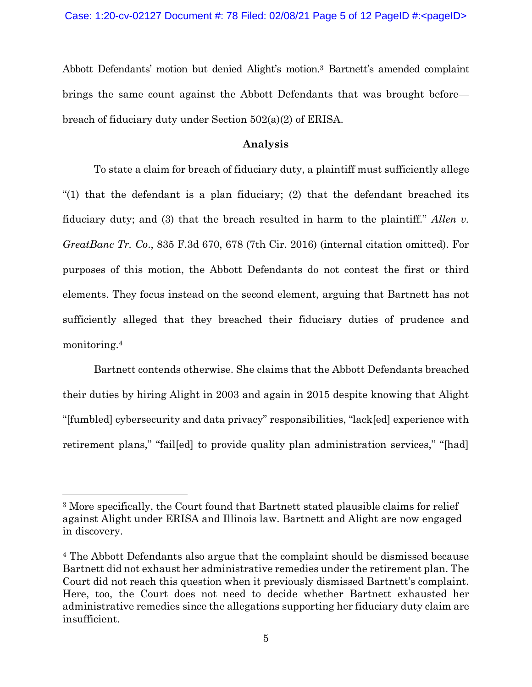Abbott Defendants' motion but denied Alight's motion.<sup>3</sup> Bartnett's amended complaint brings the same count against the Abbott Defendants that was brought before breach of fiduciary duty under Section 502(a)(2) of ERISA.

### **Analysis**

To state a claim for breach of fiduciary duty, a plaintiff must sufficiently allege "(1) that the defendant is a plan fiduciary; (2) that the defendant breached its fiduciary duty; and (3) that the breach resulted in harm to the plaintiff." *Allen v. GreatBanc Tr. Co*., 835 F.3d 670, 678 (7th Cir. 2016) (internal citation omitted). For purposes of this motion, the Abbott Defendants do not contest the first or third elements. They focus instead on the second element, arguing that Bartnett has not sufficiently alleged that they breached their fiduciary duties of prudence and monitoring.<sup>4</sup>

Bartnett contends otherwise. She claims that the Abbott Defendants breached their duties by hiring Alight in 2003 and again in 2015 despite knowing that Alight "[fumbled] cybersecurity and data privacy" responsibilities, "lack[ed] experience with retirement plans," "failed to provide quality plan administration services," "[had]

<sup>3</sup> More specifically, the Court found that Bartnett stated plausible claims for relief against Alight under ERISA and Illinois law. Bartnett and Alight are now engaged in discovery.

<sup>4</sup> The Abbott Defendants also argue that the complaint should be dismissed because Bartnett did not exhaust her administrative remedies under the retirement plan. The Court did not reach this question when it previously dismissed Bartnett's complaint. Here, too, the Court does not need to decide whether Bartnett exhausted her administrative remedies since the allegations supporting her fiduciary duty claim are insufficient.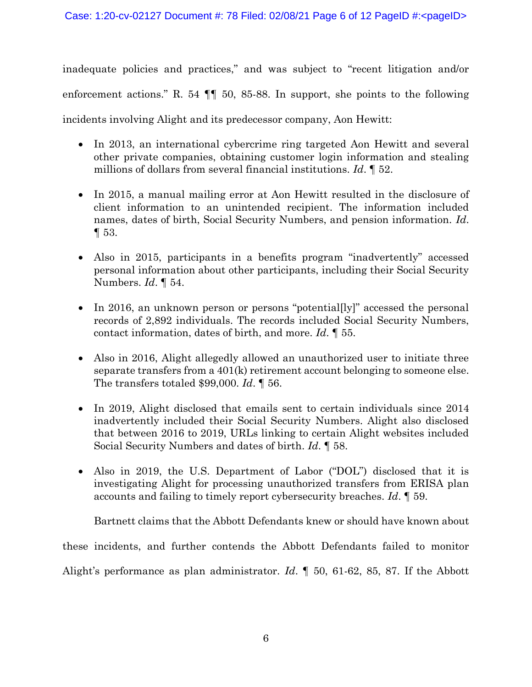inadequate policies and practices," and was subject to "recent litigation and/or enforcement actions." R. 54 ¶¶ 50, 85-88. In support, she points to the following incidents involving Alight and its predecessor company, Aon Hewitt:

- In 2013, an international cybercrime ring targeted Aon Hewitt and several other private companies, obtaining customer login information and stealing millions of dollars from several financial institutions. *Id*. ¶ 52.
- In 2015, a manual mailing error at Aon Hewitt resulted in the disclosure of client information to an unintended recipient. The information included names, dates of birth, Social Security Numbers, and pension information. *Id*. ¶ 53.
- Also in 2015, participants in a benefits program "inadvertently" accessed personal information about other participants, including their Social Security Numbers. *Id*. ¶ 54.
- In 2016, an unknown person or persons "potential[ly]" accessed the personal records of 2,892 individuals. The records included Social Security Numbers, contact information, dates of birth, and more. *Id*. ¶ 55.
- Also in 2016, Alight allegedly allowed an unauthorized user to initiate three separate transfers from a 401(k) retirement account belonging to someone else. The transfers totaled \$99,000. *Id*. ¶ 56.
- In 2019, Alight disclosed that emails sent to certain individuals since 2014 inadvertently included their Social Security Numbers. Alight also disclosed that between 2016 to 2019, URLs linking to certain Alight websites included Social Security Numbers and dates of birth. *Id*. ¶ 58.
- Also in 2019, the U.S. Department of Labor ("DOL") disclosed that it is investigating Alight for processing unauthorized transfers from ERISA plan accounts and failing to timely report cybersecurity breaches. *Id*. ¶ 59.

Bartnett claims that the Abbott Defendants knew or should have known about these incidents, and further contends the Abbott Defendants failed to monitor Alight's performance as plan administrator. *Id*. ¶ 50, 61-62, 85, 87. If the Abbott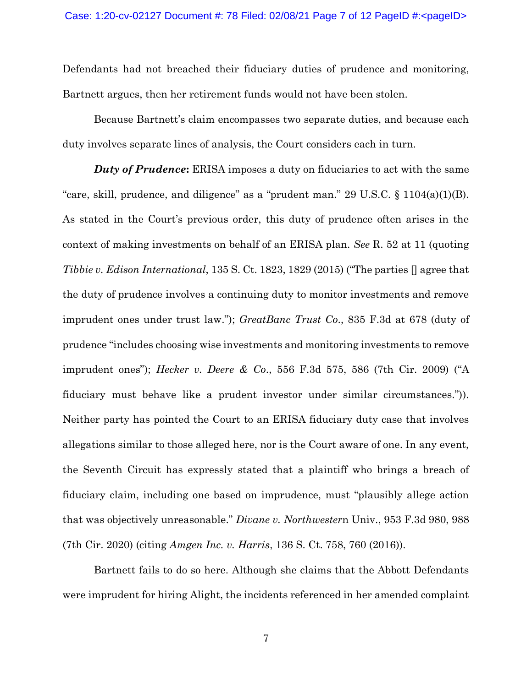Defendants had not breached their fiduciary duties of prudence and monitoring, Bartnett argues, then her retirement funds would not have been stolen.

Because Bartnett's claim encompasses two separate duties, and because each duty involves separate lines of analysis, the Court considers each in turn.

*Duty of Prudence***:** ERISA imposes a duty on fiduciaries to act with the same "care, skill, prudence, and diligence" as a "prudent man."  $29 \text{ U.S.C.} \$   $1104(a)(1)(B)$ . As stated in the Court's previous order, this duty of prudence often arises in the context of making investments on behalf of an ERISA plan. *See* R. 52 at 11 (quoting *Tibbie v. Edison International*, 135 S. Ct. 1823, 1829 (2015) ("The parties [] agree that the duty of prudence involves a continuing duty to monitor investments and remove imprudent ones under trust law."); *GreatBanc Trust Co*., 835 F.3d at 678 (duty of prudence "includes choosing wise investments and monitoring investments to remove imprudent ones"); *Hecker v. Deere & Co*., 556 F.3d 575, 586 (7th Cir. 2009) ("A fiduciary must behave like a prudent investor under similar circumstances.")). Neither party has pointed the Court to an ERISA fiduciary duty case that involves allegations similar to those alleged here, nor is the Court aware of one. In any event, the Seventh Circuit has expressly stated that a plaintiff who brings a breach of fiduciary claim, including one based on imprudence, must "plausibly allege action that was objectively unreasonable." *Divane v. Northwester*n Univ., 953 F.3d 980, 988 (7th Cir. 2020) (citing *Amgen Inc. v. Harris*, 136 S. Ct. 758, 760 (2016)).

Bartnett fails to do so here. Although she claims that the Abbott Defendants were imprudent for hiring Alight, the incidents referenced in her amended complaint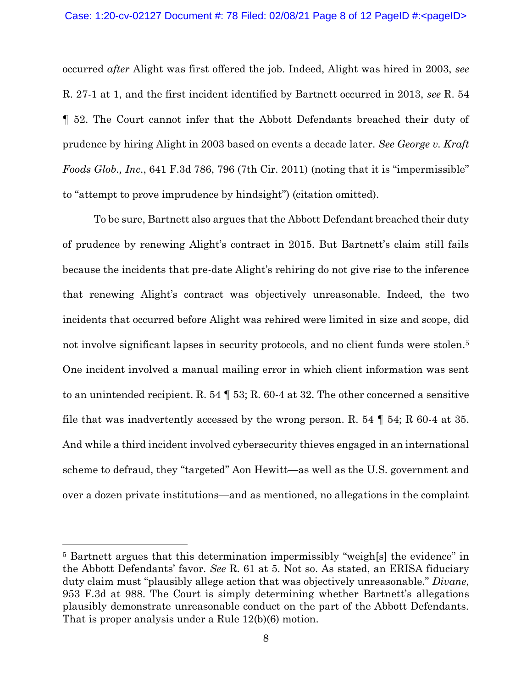occurred *after* Alight was first offered the job. Indeed, Alight was hired in 2003, *see*  R. 27-1 at 1, and the first incident identified by Bartnett occurred in 2013, *see* R. 54 ¶ 52. The Court cannot infer that the Abbott Defendants breached their duty of prudence by hiring Alight in 2003 based on events a decade later. *See George v. Kraft Foods Glob., Inc*., 641 F.3d 786, 796 (7th Cir. 2011) (noting that it is "impermissible" to "attempt to prove imprudence by hindsight") (citation omitted).

To be sure, Bartnett also argues that the Abbott Defendant breached their duty of prudence by renewing Alight's contract in 2015. But Bartnett's claim still fails because the incidents that pre-date Alight's rehiring do not give rise to the inference that renewing Alight's contract was objectively unreasonable. Indeed, the two incidents that occurred before Alight was rehired were limited in size and scope, did not involve significant lapses in security protocols, and no client funds were stolen.<sup>5</sup> One incident involved a manual mailing error in which client information was sent to an unintended recipient. R. 54 ¶ 53; R. 60-4 at 32. The other concerned a sensitive file that was inadvertently accessed by the wrong person. R. 54  $\parallel$  54; R 60-4 at 35. And while a third incident involved cybersecurity thieves engaged in an international scheme to defraud, they "targeted" Aon Hewitt—as well as the U.S. government and over a dozen private institutions—and as mentioned, no allegations in the complaint

<sup>5</sup> Bartnett argues that this determination impermissibly "weigh[s] the evidence" in the Abbott Defendants' favor. *See* R. 61 at 5. Not so. As stated, an ERISA fiduciary duty claim must "plausibly allege action that was objectively unreasonable." *Divane*, 953 F.3d at 988. The Court is simply determining whether Bartnett's allegations plausibly demonstrate unreasonable conduct on the part of the Abbott Defendants. That is proper analysis under a Rule 12(b)(6) motion.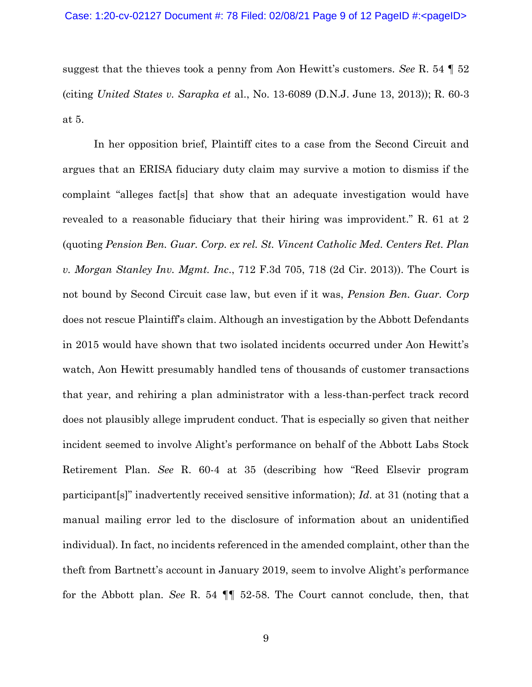suggest that the thieves took a penny from Aon Hewitt's customers. *See* R. 54 ¶ 52 (citing *United States v. Sarapka et* al., No. 13-6089 (D.N.J. June 13, 2013)); R. 60-3 at 5.

In her opposition brief, Plaintiff cites to a case from the Second Circuit and argues that an ERISA fiduciary duty claim may survive a motion to dismiss if the complaint "alleges fact[s] that show that an adequate investigation would have revealed to a reasonable fiduciary that their hiring was improvident." R. 61 at 2 (quoting *Pension Ben. Guar. Corp. ex rel. St. Vincent Catholic Med. Centers Ret. Plan v. Morgan Stanley Inv. Mgmt. Inc*., 712 F.3d 705, 718 (2d Cir. 2013)). The Court is not bound by Second Circuit case law, but even if it was, *Pension Ben. Guar. Corp* does not rescue Plaintiff's claim. Although an investigation by the Abbott Defendants in 2015 would have shown that two isolated incidents occurred under Aon Hewitt's watch, Aon Hewitt presumably handled tens of thousands of customer transactions that year, and rehiring a plan administrator with a less-than-perfect track record does not plausibly allege imprudent conduct. That is especially so given that neither incident seemed to involve Alight's performance on behalf of the Abbott Labs Stock Retirement Plan. *See* R. 60-4 at 35 (describing how "Reed Elsevir program participant[s]" inadvertently received sensitive information); *Id*. at 31 (noting that a manual mailing error led to the disclosure of information about an unidentified individual). In fact, no incidents referenced in the amended complaint, other than the theft from Bartnett's account in January 2019, seem to involve Alight's performance for the Abbott plan. *See* R. 54 ¶¶ 52-58. The Court cannot conclude, then, that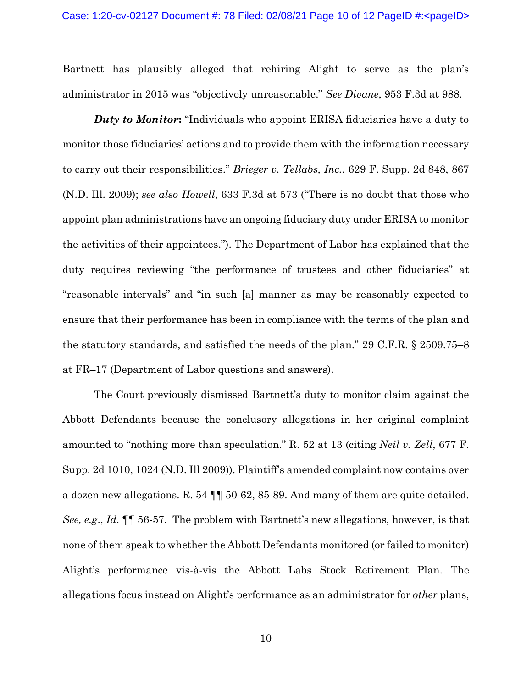Bartnett has plausibly alleged that rehiring Alight to serve as the plan's administrator in 2015 was "objectively unreasonable." *See Divane*, 953 F.3d at 988.

*Duty to Monitor***:** "Individuals who appoint ERISA fiduciaries have a duty to monitor those fiduciaries' actions and to provide them with the information necessary to carry out their responsibilities." *Brieger v. Tellabs, Inc.*, 629 F. Supp. 2d 848, 867 (N.D. Ill. 2009); *see also Howell*, 633 F.3d at 573 ("There is no doubt that those who appoint plan administrations have an ongoing fiduciary duty under ERISA to monitor the activities of their appointees."). The Department of Labor has explained that the duty requires reviewing "the performance of trustees and other fiduciaries" at "reasonable intervals" and "in such [a] manner as may be reasonably expected to ensure that their performance has been in compliance with the terms of the plan and the statutory standards, and satisfied the needs of the plan." 29 C.F.R. § 2509.75–8 at FR–17 (Department of Labor questions and answers).

The Court previously dismissed Bartnett's duty to monitor claim against the Abbott Defendants because the conclusory allegations in her original complaint amounted to "nothing more than speculation." R. 52 at 13 (citing *Neil v. Zell*, 677 F. Supp. 2d 1010, 1024 (N.D. Ill 2009)). Plaintiff's amended complaint now contains over a dozen new allegations. R. 54 ¶¶ 50-62, 85-89. And many of them are quite detailed. *See, e.g*., *Id.* ¶¶ 56-57. The problem with Bartnett's new allegations, however, is that none of them speak to whether the Abbott Defendants monitored (or failed to monitor) Alight's performance vis-à-vis the Abbott Labs Stock Retirement Plan. The allegations focus instead on Alight's performance as an administrator for *other* plans,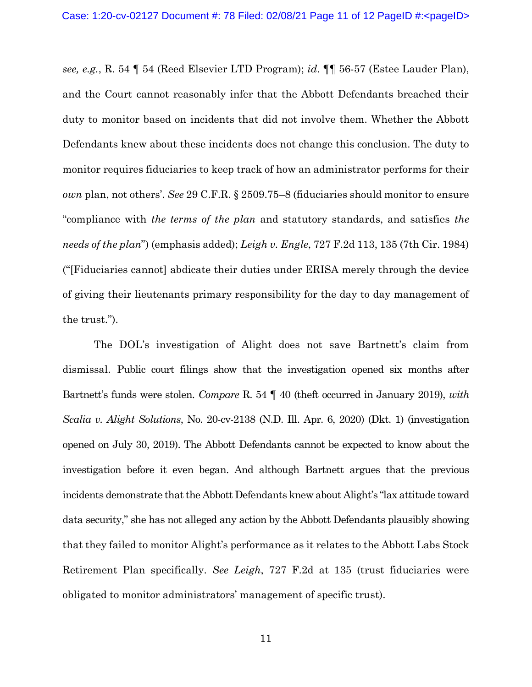*see, e.g.*, R. 54 ¶ 54 (Reed Elsevier LTD Program); *id*. ¶¶ 56-57 (Estee Lauder Plan), and the Court cannot reasonably infer that the Abbott Defendants breached their duty to monitor based on incidents that did not involve them. Whether the Abbott Defendants knew about these incidents does not change this conclusion. The duty to monitor requires fiduciaries to keep track of how an administrator performs for their *own* plan, not others'. *See* 29 C.F.R. § 2509.75–8 (fiduciaries should monitor to ensure "compliance with *the terms of the plan* and statutory standards, and satisfies *the needs of the plan*") (emphasis added); *Leigh v. Engle*, 727 F.2d 113, 135 (7th Cir. 1984) ("[Fiduciaries cannot] abdicate their duties under ERISA merely through the device of giving their lieutenants primary responsibility for the day to day management of the trust.").

The DOL's investigation of Alight does not save Bartnett's claim from dismissal. Public court filings show that the investigation opened six months after Bartnett's funds were stolen. *Compare* R. 54 ¶ 40 (theft occurred in January 2019), *with Scalia v. Alight Solutions*, No. 20-cv-2138 (N.D. Ill. Apr. 6, 2020) (Dkt. 1) (investigation opened on July 30, 2019). The Abbott Defendants cannot be expected to know about the investigation before it even began. And although Bartnett argues that the previous incidents demonstrate that the Abbott Defendants knew about Alight's "lax attitude toward data security," she has not alleged any action by the Abbott Defendants plausibly showing that they failed to monitor Alight's performance as it relates to the Abbott Labs Stock Retirement Plan specifically. *See Leigh*, 727 F.2d at 135 (trust fiduciaries were obligated to monitor administrators' management of specific trust).